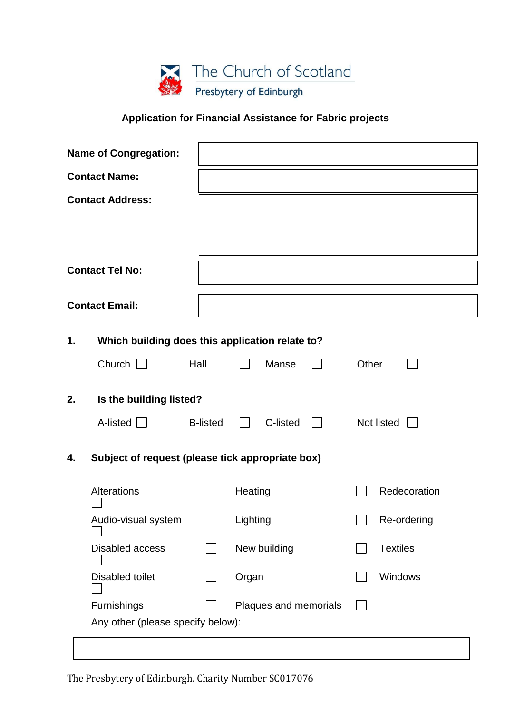

## **Application for Financial Assistance for Fabric projects**

| <b>Name of Congregation:</b>                           |                                                 |                 |                       |          |  |                 |              |
|--------------------------------------------------------|-------------------------------------------------|-----------------|-----------------------|----------|--|-----------------|--------------|
| <b>Contact Name:</b>                                   |                                                 |                 |                       |          |  |                 |              |
| <b>Contact Address:</b>                                |                                                 |                 |                       |          |  |                 |              |
| <b>Contact Tel No:</b>                                 |                                                 |                 |                       |          |  |                 |              |
| <b>Contact Email:</b>                                  |                                                 |                 |                       |          |  |                 |              |
| 1.                                                     | Which building does this application relate to? |                 |                       |          |  |                 |              |
|                                                        | Church $\Box$                                   | Hall            |                       | Manse    |  | Other           |              |
| 2.                                                     | Is the building listed?                         |                 |                       |          |  |                 |              |
|                                                        | A-listed $\Box$                                 | <b>B-listed</b> |                       | C-listed |  |                 | Not listed   |
| Subject of request (please tick appropriate box)<br>4. |                                                 |                 |                       |          |  |                 |              |
|                                                        | Alterations                                     |                 | Heating               |          |  |                 | Redecoration |
|                                                        | Audio-visual system                             |                 | Lighting              |          |  | Re-ordering     |              |
|                                                        | Disabled access                                 |                 | New building          |          |  | <b>Textiles</b> |              |
|                                                        | <b>Disabled toilet</b>                          |                 | Organ                 |          |  | Windows         |              |
|                                                        | Furnishings                                     |                 | Plaques and memorials |          |  |                 |              |
|                                                        | Any other (please specify below):               |                 |                       |          |  |                 |              |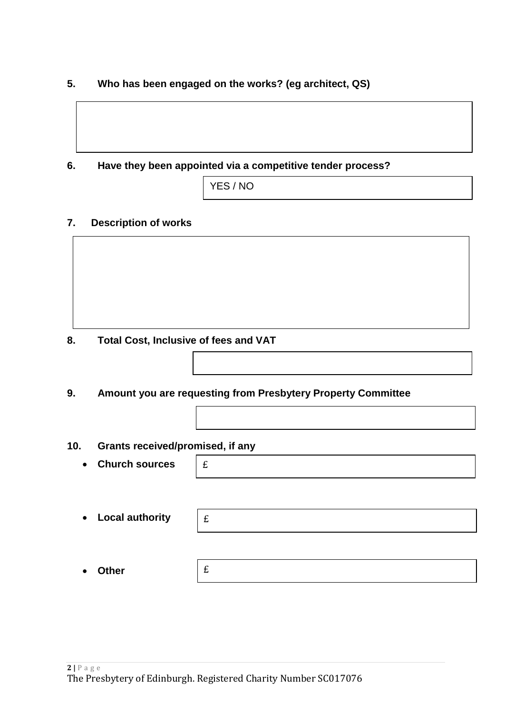**5. Who has been engaged on the works? (eg architect, QS)**

**6. Have they been appointed via a competitive tender process?**

| YES / NO |  |
|----------|--|
|          |  |

## **7. Description of works**

**8. Total Cost, Inclusive of fees and VAT**

**9. Amount you are requesting from Presbytery Property Committee**

**10. Grants received/promised, if any**

- **Church sources**
- **Local authority**

• **Other**

£

£

£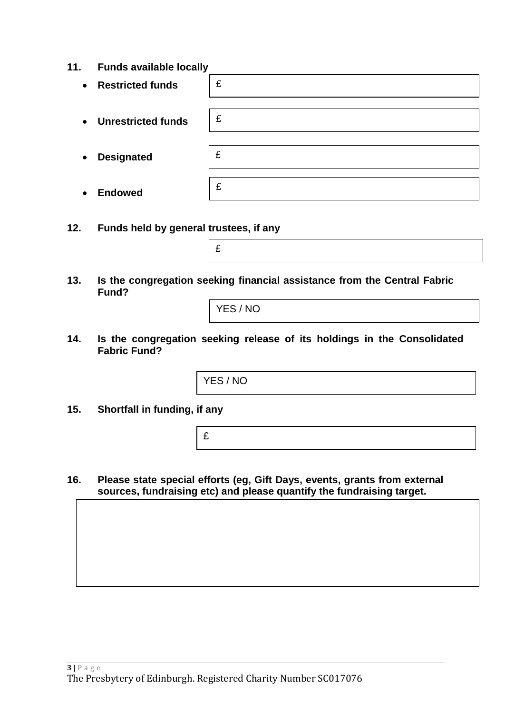**11. Funds available locally**

| $\bullet$ | <b>Restricted funds</b>   | £ |
|-----------|---------------------------|---|
|           |                           |   |
| $\bullet$ | <b>Unrestricted funds</b> | £ |
|           |                           |   |
|           |                           |   |
| $\bullet$ | <b>Designated</b>         | £ |
|           |                           |   |
| $\bullet$ | <b>Endowed</b>            | £ |
|           |                           |   |

- **12. Funds held by general trustees, if any**
- **13. Is the congregation seeking financial assistance from the Central Fabric Fund?**

YES / NO

£

**14. Is the congregation seeking release of its holdings in the Consolidated Fabric Fund?**

YES / NO

**15. Shortfall in funding, if any**

£

**16. Please state special efforts (eg, Gift Days, events, grants from external sources, fundraising etc) and please quantify the fundraising target.**